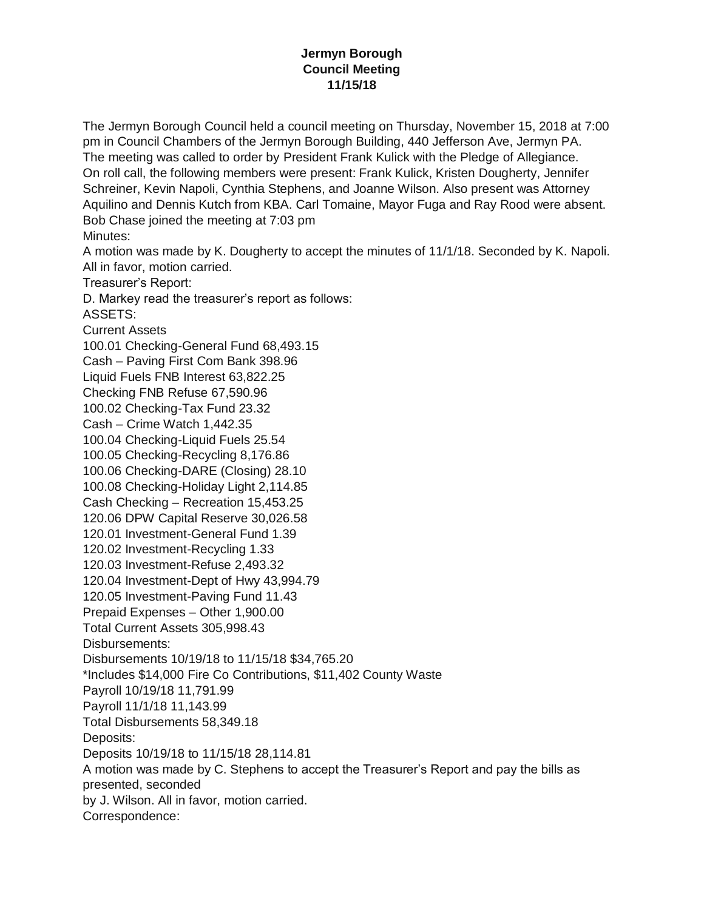## **Jermyn Borough Council Meeting 11/15/18**

The Jermyn Borough Council held a council meeting on Thursday, November 15, 2018 at 7:00 pm in Council Chambers of the Jermyn Borough Building, 440 Jefferson Ave, Jermyn PA. The meeting was called to order by President Frank Kulick with the Pledge of Allegiance. On roll call, the following members were present: Frank Kulick, Kristen Dougherty, Jennifer Schreiner, Kevin Napoli, Cynthia Stephens, and Joanne Wilson. Also present was Attorney Aquilino and Dennis Kutch from KBA. Carl Tomaine, Mayor Fuga and Ray Rood were absent. Bob Chase joined the meeting at 7:03 pm Minutes: A motion was made by K. Dougherty to accept the minutes of 11/1/18. Seconded by K. Napoli. All in favor, motion carried. Treasurer's Report: D. Markey read the treasurer's report as follows: ASSETS: Current Assets 100.01 Checking-General Fund 68,493.15 Cash – Paving First Com Bank 398.96 Liquid Fuels FNB Interest 63,822.25 Checking FNB Refuse 67,590.96 100.02 Checking-Tax Fund 23.32 Cash – Crime Watch 1,442.35 100.04 Checking-Liquid Fuels 25.54 100.05 Checking-Recycling 8,176.86 100.06 Checking-DARE (Closing) 28.10 100.08 Checking-Holiday Light 2,114.85 Cash Checking – Recreation 15,453.25 120.06 DPW Capital Reserve 30,026.58 120.01 Investment-General Fund 1.39 120.02 Investment-Recycling 1.33 120.03 Investment-Refuse 2,493.32 120.04 Investment-Dept of Hwy 43,994.79 120.05 Investment-Paving Fund 11.43 Prepaid Expenses – Other 1,900.00 Total Current Assets 305,998.43 Disbursements: Disbursements 10/19/18 to 11/15/18 \$34,765.20 \*Includes \$14,000 Fire Co Contributions, \$11,402 County Waste Payroll 10/19/18 11,791.99 Payroll 11/1/18 11,143.99 Total Disbursements 58,349.18 Deposits: Deposits 10/19/18 to 11/15/18 28,114.81 A motion was made by C. Stephens to accept the Treasurer's Report and pay the bills as presented, seconded by J. Wilson. All in favor, motion carried. Correspondence: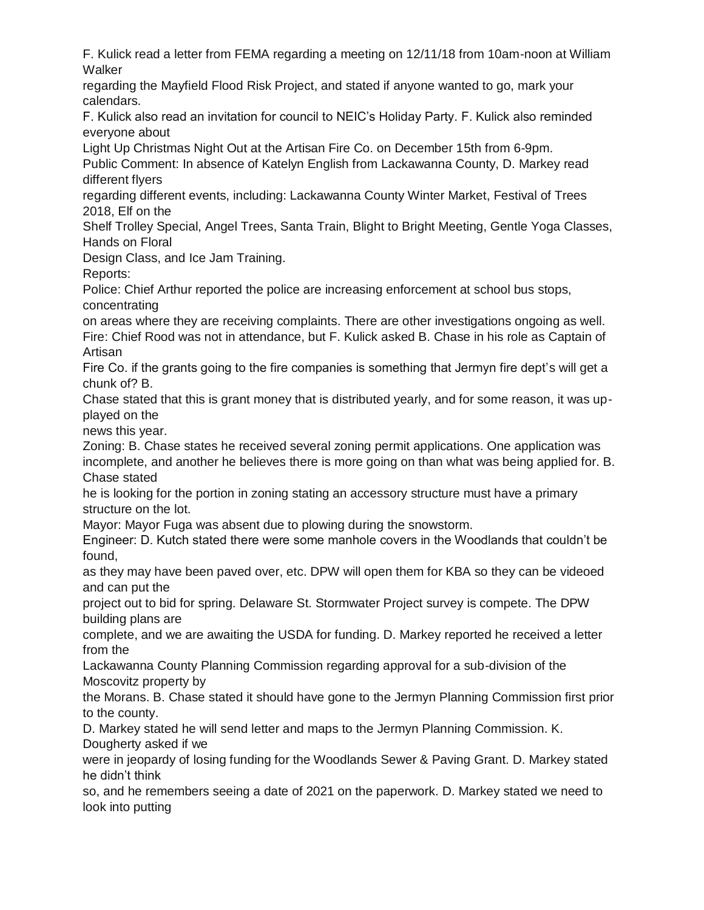F. Kulick read a letter from FEMA regarding a meeting on 12/11/18 from 10am-noon at William **Walker** 

regarding the Mayfield Flood Risk Project, and stated if anyone wanted to go, mark your calendars.

F. Kulick also read an invitation for council to NEIC's Holiday Party. F. Kulick also reminded everyone about

Light Up Christmas Night Out at the Artisan Fire Co. on December 15th from 6-9pm.

Public Comment: In absence of Katelyn English from Lackawanna County, D. Markey read different flyers

regarding different events, including: Lackawanna County Winter Market, Festival of Trees 2018, Elf on the

Shelf Trolley Special, Angel Trees, Santa Train, Blight to Bright Meeting, Gentle Yoga Classes, Hands on Floral

Design Class, and Ice Jam Training.

Reports:

Police: Chief Arthur reported the police are increasing enforcement at school bus stops, concentrating

on areas where they are receiving complaints. There are other investigations ongoing as well. Fire: Chief Rood was not in attendance, but F. Kulick asked B. Chase in his role as Captain of Artisan

Fire Co. if the grants going to the fire companies is something that Jermyn fire dept's will get a chunk of? B.

Chase stated that this is grant money that is distributed yearly, and for some reason, it was upplayed on the

news this year.

Zoning: B. Chase states he received several zoning permit applications. One application was incomplete, and another he believes there is more going on than what was being applied for. B. Chase stated

he is looking for the portion in zoning stating an accessory structure must have a primary structure on the lot.

Mayor: Mayor Fuga was absent due to plowing during the snowstorm.

Engineer: D. Kutch stated there were some manhole covers in the Woodlands that couldn't be found,

as they may have been paved over, etc. DPW will open them for KBA so they can be videoed and can put the

project out to bid for spring. Delaware St. Stormwater Project survey is compete. The DPW building plans are

complete, and we are awaiting the USDA for funding. D. Markey reported he received a letter from the

Lackawanna County Planning Commission regarding approval for a sub-division of the Moscovitz property by

the Morans. B. Chase stated it should have gone to the Jermyn Planning Commission first prior to the county.

D. Markey stated he will send letter and maps to the Jermyn Planning Commission. K. Dougherty asked if we

were in jeopardy of losing funding for the Woodlands Sewer & Paving Grant. D. Markey stated he didn't think

so, and he remembers seeing a date of 2021 on the paperwork. D. Markey stated we need to look into putting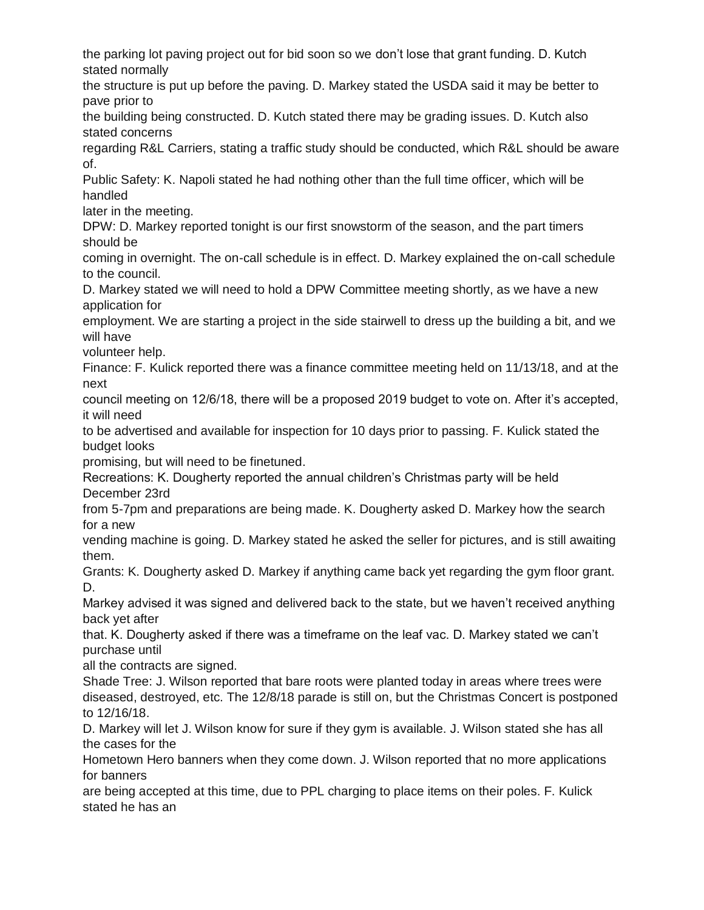the parking lot paving project out for bid soon so we don't lose that grant funding. D. Kutch stated normally

the structure is put up before the paving. D. Markey stated the USDA said it may be better to pave prior to

the building being constructed. D. Kutch stated there may be grading issues. D. Kutch also stated concerns

regarding R&L Carriers, stating a traffic study should be conducted, which R&L should be aware of.

Public Safety: K. Napoli stated he had nothing other than the full time officer, which will be handled

later in the meeting.

DPW: D. Markey reported tonight is our first snowstorm of the season, and the part timers should be

coming in overnight. The on-call schedule is in effect. D. Markey explained the on-call schedule to the council.

D. Markey stated we will need to hold a DPW Committee meeting shortly, as we have a new application for

employment. We are starting a project in the side stairwell to dress up the building a bit, and we will have

volunteer help.

Finance: F. Kulick reported there was a finance committee meeting held on 11/13/18, and at the next

council meeting on 12/6/18, there will be a proposed 2019 budget to vote on. After it's accepted, it will need

to be advertised and available for inspection for 10 days prior to passing. F. Kulick stated the budget looks

promising, but will need to be finetuned.

Recreations: K. Dougherty reported the annual children's Christmas party will be held December 23rd

from 5-7pm and preparations are being made. K. Dougherty asked D. Markey how the search for a new

vending machine is going. D. Markey stated he asked the seller for pictures, and is still awaiting them.

Grants: K. Dougherty asked D. Markey if anything came back yet regarding the gym floor grant. D.

Markey advised it was signed and delivered back to the state, but we haven't received anything back yet after

that. K. Dougherty asked if there was a timeframe on the leaf vac. D. Markey stated we can't purchase until

all the contracts are signed.

Shade Tree: J. Wilson reported that bare roots were planted today in areas where trees were diseased, destroyed, etc. The 12/8/18 parade is still on, but the Christmas Concert is postponed to 12/16/18.

D. Markey will let J. Wilson know for sure if they gym is available. J. Wilson stated she has all the cases for the

Hometown Hero banners when they come down. J. Wilson reported that no more applications for banners

are being accepted at this time, due to PPL charging to place items on their poles. F. Kulick stated he has an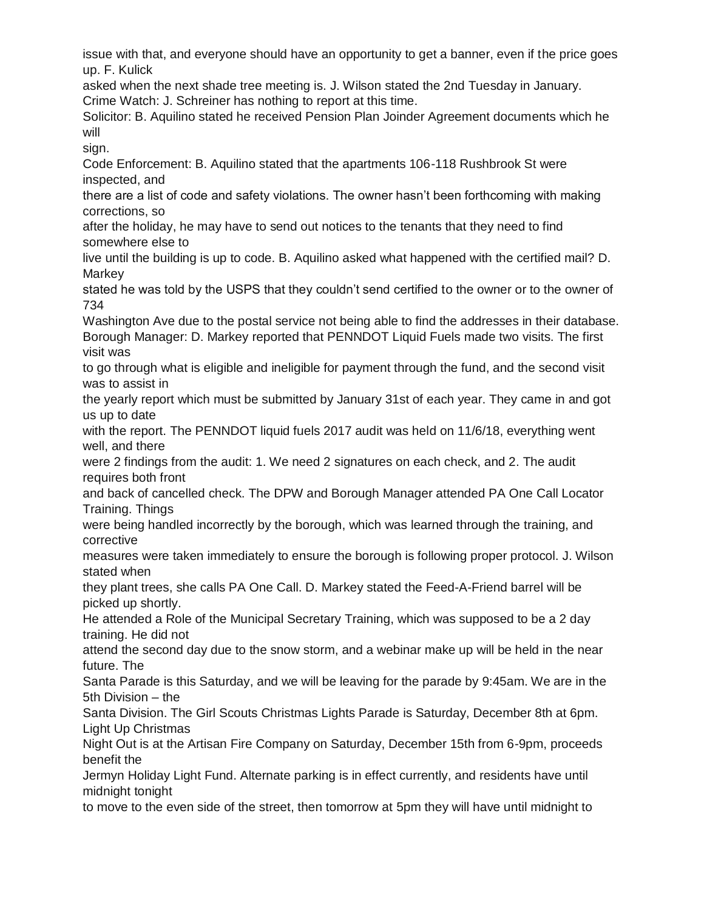issue with that, and everyone should have an opportunity to get a banner, even if the price goes up. F. Kulick

asked when the next shade tree meeting is. J. Wilson stated the 2nd Tuesday in January. Crime Watch: J. Schreiner has nothing to report at this time.

Solicitor: B. Aquilino stated he received Pension Plan Joinder Agreement documents which he will

sign.

Code Enforcement: B. Aquilino stated that the apartments 106-118 Rushbrook St were inspected, and

there are a list of code and safety violations. The owner hasn't been forthcoming with making corrections, so

after the holiday, he may have to send out notices to the tenants that they need to find somewhere else to

live until the building is up to code. B. Aquilino asked what happened with the certified mail? D. **Markey** 

stated he was told by the USPS that they couldn't send certified to the owner or to the owner of 734

Washington Ave due to the postal service not being able to find the addresses in their database. Borough Manager: D. Markey reported that PENNDOT Liquid Fuels made two visits. The first visit was

to go through what is eligible and ineligible for payment through the fund, and the second visit was to assist in

the yearly report which must be submitted by January 31st of each year. They came in and got us up to date

with the report. The PENNDOT liquid fuels 2017 audit was held on 11/6/18, everything went well, and there

were 2 findings from the audit: 1. We need 2 signatures on each check, and 2. The audit requires both front

and back of cancelled check. The DPW and Borough Manager attended PA One Call Locator Training. Things

were being handled incorrectly by the borough, which was learned through the training, and corrective

measures were taken immediately to ensure the borough is following proper protocol. J. Wilson stated when

they plant trees, she calls PA One Call. D. Markey stated the Feed-A-Friend barrel will be picked up shortly.

He attended a Role of the Municipal Secretary Training, which was supposed to be a 2 day training. He did not

attend the second day due to the snow storm, and a webinar make up will be held in the near future. The

Santa Parade is this Saturday, and we will be leaving for the parade by 9:45am. We are in the 5th Division – the

Santa Division. The Girl Scouts Christmas Lights Parade is Saturday, December 8th at 6pm. Light Up Christmas

Night Out is at the Artisan Fire Company on Saturday, December 15th from 6-9pm, proceeds benefit the

Jermyn Holiday Light Fund. Alternate parking is in effect currently, and residents have until midnight tonight

to move to the even side of the street, then tomorrow at 5pm they will have until midnight to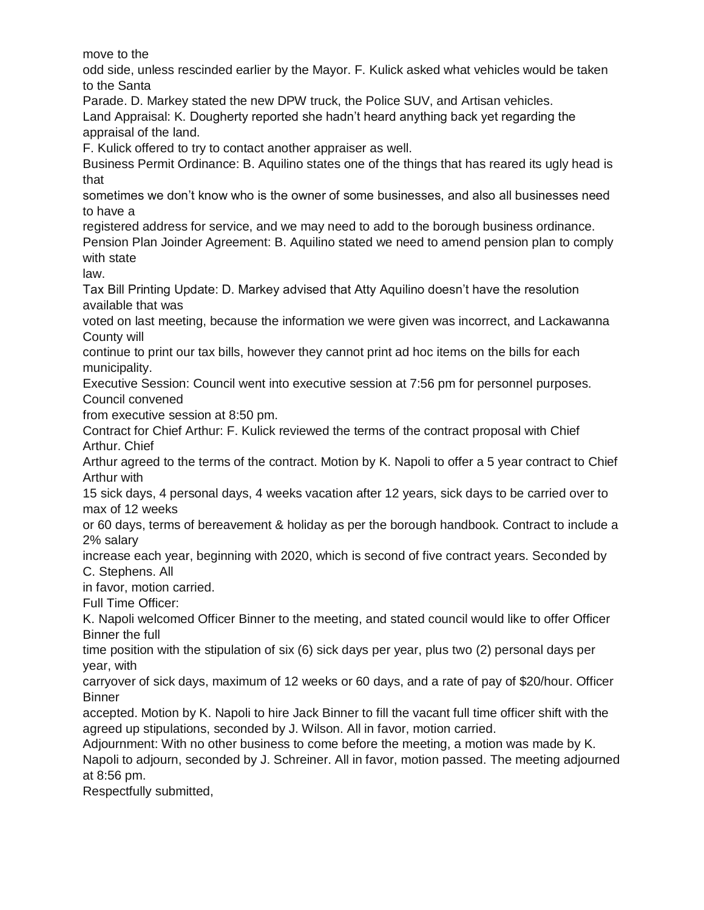move to the

odd side, unless rescinded earlier by the Mayor. F. Kulick asked what vehicles would be taken to the Santa

Parade. D. Markey stated the new DPW truck, the Police SUV, and Artisan vehicles.

Land Appraisal: K. Dougherty reported she hadn't heard anything back yet regarding the appraisal of the land.

F. Kulick offered to try to contact another appraiser as well.

Business Permit Ordinance: B. Aquilino states one of the things that has reared its ugly head is that

sometimes we don't know who is the owner of some businesses, and also all businesses need to have a

registered address for service, and we may need to add to the borough business ordinance.

Pension Plan Joinder Agreement: B. Aquilino stated we need to amend pension plan to comply with state

law.

Tax Bill Printing Update: D. Markey advised that Atty Aquilino doesn't have the resolution available that was

voted on last meeting, because the information we were given was incorrect, and Lackawanna County will

continue to print our tax bills, however they cannot print ad hoc items on the bills for each municipality.

Executive Session: Council went into executive session at 7:56 pm for personnel purposes. Council convened

from executive session at 8:50 pm.

Contract for Chief Arthur: F. Kulick reviewed the terms of the contract proposal with Chief Arthur. Chief

Arthur agreed to the terms of the contract. Motion by K. Napoli to offer a 5 year contract to Chief Arthur with

15 sick days, 4 personal days, 4 weeks vacation after 12 years, sick days to be carried over to max of 12 weeks

or 60 days, terms of bereavement & holiday as per the borough handbook. Contract to include a 2% salary

increase each year, beginning with 2020, which is second of five contract years. Seconded by C. Stephens. All

in favor, motion carried.

Full Time Officer:

K. Napoli welcomed Officer Binner to the meeting, and stated council would like to offer Officer Binner the full

time position with the stipulation of six (6) sick days per year, plus two (2) personal days per year, with

carryover of sick days, maximum of 12 weeks or 60 days, and a rate of pay of \$20/hour. Officer **Binner** 

accepted. Motion by K. Napoli to hire Jack Binner to fill the vacant full time officer shift with the agreed up stipulations, seconded by J. Wilson. All in favor, motion carried.

Adjournment: With no other business to come before the meeting, a motion was made by K. Napoli to adjourn, seconded by J. Schreiner. All in favor, motion passed. The meeting adjourned at 8:56 pm.

Respectfully submitted,